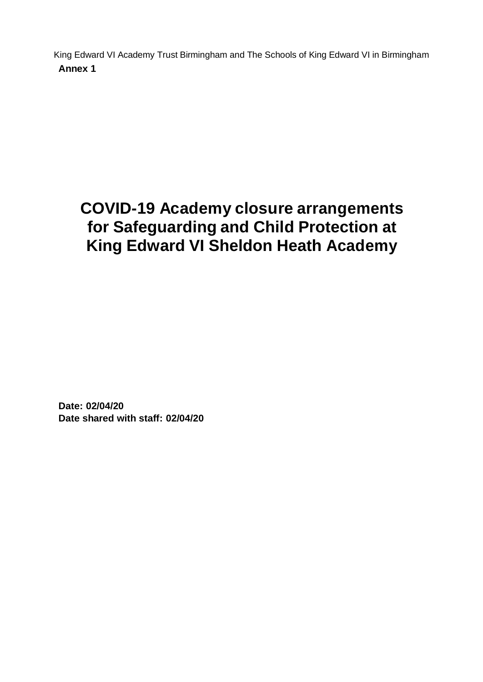King Edward VI Academy Trust Birmingham and The Schools of King Edward VI in Birmingham **Annex 1**

# **COVID-19 Academy closure arrangements for Safeguarding and Child Protection at King Edward VI Sheldon Heath Academy**

**Date: 02/04/20 Date shared with staff: 02/04/20**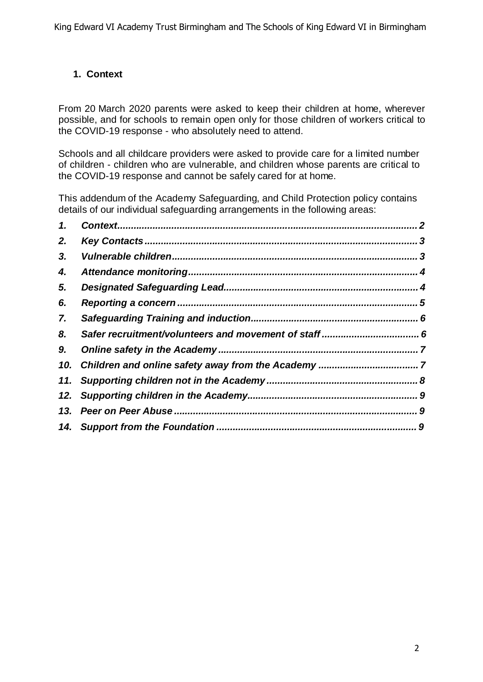# **1. Context**

From 20 March 2020 parents were asked to keep their children at home, wherever possible, and for schools to remain open only for those children of workers critical to the COVID-19 response - who absolutely need to attend.

Schools and all childcare providers were asked to provide care for a limited number of children - children who are vulnerable, and children whose parents are critical to the COVID-19 response and cannot be safely cared for at home.

This addendum of the Academy Safeguarding, and Child Protection policy contains details of our individual safeguarding arrangements in the following areas:

| 1.  |  |
|-----|--|
| 2.  |  |
| 3.  |  |
| 4.  |  |
| 5.  |  |
| 6.  |  |
| 7.  |  |
| 8.  |  |
| 9.  |  |
| 10. |  |
| 11. |  |
| 12. |  |
| 13. |  |
|     |  |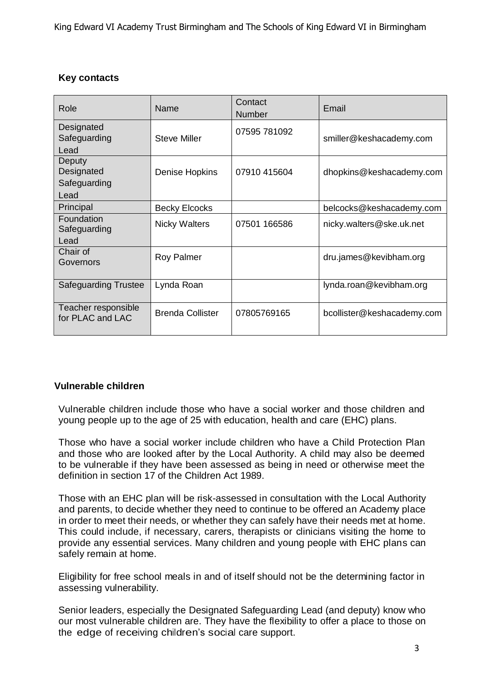# **Key contacts**

| Role                                    | Name                    | Contact<br>Number | Email                      |
|-----------------------------------------|-------------------------|-------------------|----------------------------|
| Designated<br>Safeguarding              | <b>Steve Miller</b>     | 07595 781092      | smiller@keshacademy.com    |
| Lead                                    |                         |                   |                            |
| Deputy<br>Designated<br>Safeguarding    | Denise Hopkins          | 07910 415604      | dhopkins@keshacademy.com   |
| Lead                                    |                         |                   |                            |
| Principal                               | <b>Becky Elcocks</b>    |                   | belcocks@keshacademy.com   |
| Foundation<br>Safeguarding              | <b>Nicky Walters</b>    | 07501 166586      | nicky.walters@ske.uk.net   |
| Lead                                    |                         |                   |                            |
| Chair of<br>Governors                   | <b>Roy Palmer</b>       |                   | dru.james@kevibham.org     |
| <b>Safeguarding Trustee</b>             | Lynda Roan              |                   | lynda.roan@kevibham.org    |
| Teacher responsible<br>for PLAC and LAC | <b>Brenda Collister</b> | 07805769165       | bcollister@keshacademy.com |

# **Vulnerable children**

Vulnerable children include those who have a social worker and those children and young people up to the age of 25 with education, health and care (EHC) plans.

Those who have a social worker include children who have a Child Protection Plan and those who are looked after by the Local Authority. A child may also be deemed to be vulnerable if they have been assessed as being in need or otherwise meet the definition in section 17 of the Children Act 1989.

Those with an EHC plan will be risk-assessed in consultation with the Local Authority and parents, to decide whether they need to continue to be offered an Academy place in order to meet their needs, or whether they can safely have their needs met at home. This could include, if necessary, carers, therapists or clinicians visiting the home to provide any essential services. Many children and young people with EHC plans can safely remain at home.

Eligibility for free school meals in and of itself should not be the determining factor in assessing vulnerability.

Senior leaders, especially the Designated Safeguarding Lead (and deputy) know who our most vulnerable children are. They have the flexibility to offer a place to those on the edge of receiving children's social care support.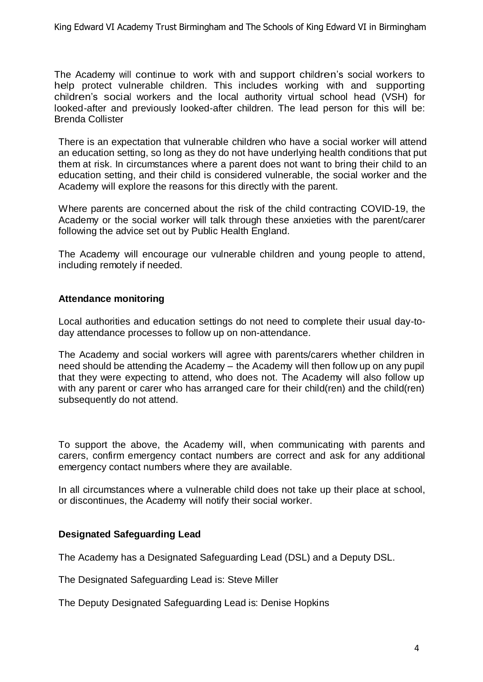The Academy will continue to work with and support children's social workers to help protect vulnerable children. This includes working with and supporting children's social workers and the local authority virtual school head (VSH) for looked-after and previously looked-after children. The lead person for this will be: Brenda Collister

There is an expectation that vulnerable children who have a social worker will attend an education setting, so long as they do not have underlying health conditions that put them at risk. In circumstances where a parent does not want to bring their child to an education setting, and their child is considered vulnerable, the social worker and the Academy will explore the reasons for this directly with the parent.

Where parents are concerned about the risk of the child contracting COVID-19, the Academy or the social worker will talk through these anxieties with the parent/carer following the advice set out by Public Health England.

The Academy will encourage our vulnerable children and young people to attend, including remotely if needed.

## **Attendance monitoring**

Local authorities and education settings do not need to complete their usual day-today attendance processes to follow up on non-attendance.

The Academy and social workers will agree with parents/carers whether children in need should be attending the Academy – the Academy will then follow up on any pupil that they were expecting to attend, who does not. The Academy will also follow up with any parent or carer who has arranged care for their child(ren) and the child(ren) subsequently do not attend.

To support the above, the Academy will, when communicating with parents and carers, confirm emergency contact numbers are correct and ask for any additional emergency contact numbers where they are available.

In all circumstances where a vulnerable child does not take up their place at school, or discontinues, the Academy will notify their social worker.

#### **Designated Safeguarding Lead**

The Academy has a Designated Safeguarding Lead (DSL) and a Deputy DSL.

The Designated Safeguarding Lead is: Steve Miller

The Deputy Designated Safeguarding Lead is: Denise Hopkins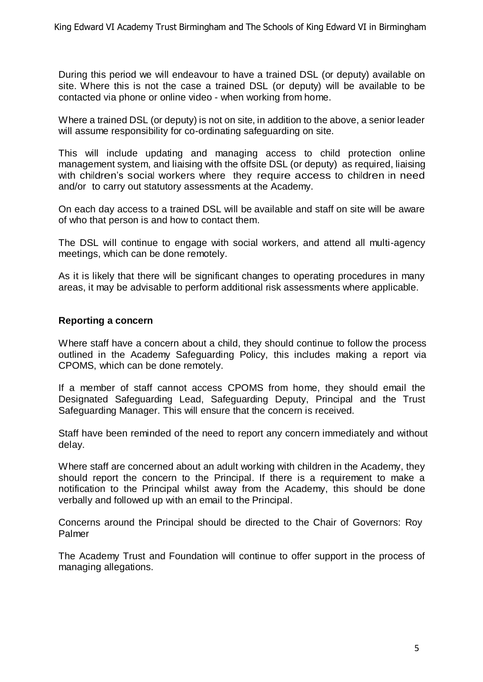During this period we will endeavour to have a trained DSL (or deputy) available on site. Where this is not the case a trained DSL (or deputy) will be available to be contacted via phone or online video - when working from home.

Where a trained DSL (or deputy) is not on site, in addition to the above, a senior leader will assume responsibility for co-ordinating safeguarding on site.

This will include updating and managing access to child protection online management system, and liaising with the offsite DSL (or deputy) as required, liaising with children's social workers where they require access to children in need and/or to carry out statutory assessments at the Academy.

On each day access to a trained DSL will be available and staff on site will be aware of who that person is and how to contact them.

The DSL will continue to engage with social workers, and attend all multi-agency meetings, which can be done remotely.

As it is likely that there will be significant changes to operating procedures in many areas, it may be advisable to perform additional risk assessments where applicable.

#### **Reporting a concern**

Where staff have a concern about a child, they should continue to follow the process outlined in the Academy Safeguarding Policy, this includes making a report via CPOMS, which can be done remotely.

If a member of staff cannot access CPOMS from home, they should email the Designated Safeguarding Lead, Safeguarding Deputy, Principal and the Trust Safeguarding Manager. This will ensure that the concern is received.

Staff have been reminded of the need to report any concern immediately and without delay.

Where staff are concerned about an adult working with children in the Academy, they should report the concern to the Principal. If there is a requirement to make a notification to the Principal whilst away from the Academy, this should be done verbally and followed up with an email to the Principal.

Concerns around the Principal should be directed to the Chair of Governors: Roy Palmer

The Academy Trust and Foundation will continue to offer support in the process of managing allegations.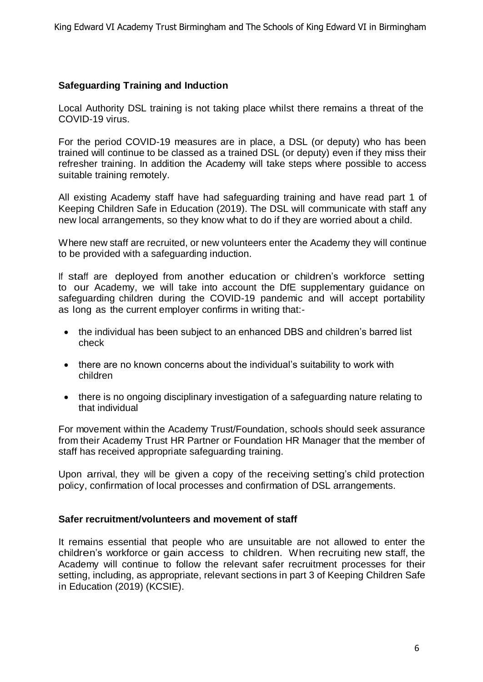# **Safeguarding Training and Induction**

Local Authority DSL training is not taking place whilst there remains a threat of the COVID-19 virus.

For the period COVID-19 measures are in place, a DSL (or deputy) who has been trained will continue to be classed as a trained DSL (or deputy) even if they miss their refresher training. In addition the Academy will take steps where possible to access suitable training remotely.

All existing Academy staff have had safeguarding training and have read part 1 of Keeping Children Safe in Education (2019). The DSL will communicate with staff any new local arrangements, so they know what to do if they are worried about a child.

Where new staff are recruited, or new volunteers enter the Academy they will continue to be provided with a safeguarding induction.

If staff are deployed from another education or children's workforce setting to our Academy, we will take into account the DfE supplementary guidance on safeguarding children during the COVID-19 pandemic and will accept portability as long as the current employer confirms in writing that:-

- the individual has been subject to an enhanced DBS and children's barred list check
- there are no known concerns about the individual's suitability to work with children
- there is no ongoing disciplinary investigation of a safeguarding nature relating to that individual

For movement within the Academy Trust/Foundation, schools should seek assurance from their Academy Trust HR Partner or Foundation HR Manager that the member of staff has received appropriate safeguarding training.

Upon arrival, they will be given a copy of the receiving setting's child protection policy, confirmation of local processes and confirmation of DSL arrangements.

#### **Safer recruitment/volunteers and movement of staff**

It remains essential that people who are unsuitable are not allowed to enter the children's workforce or gain access to children. When recruiting new staff, the Academy will continue to follow the relevant safer recruitment processes for their setting, including, as appropriate, relevant sections in part 3 of Keeping Children Safe in Education (2019) (KCSIE).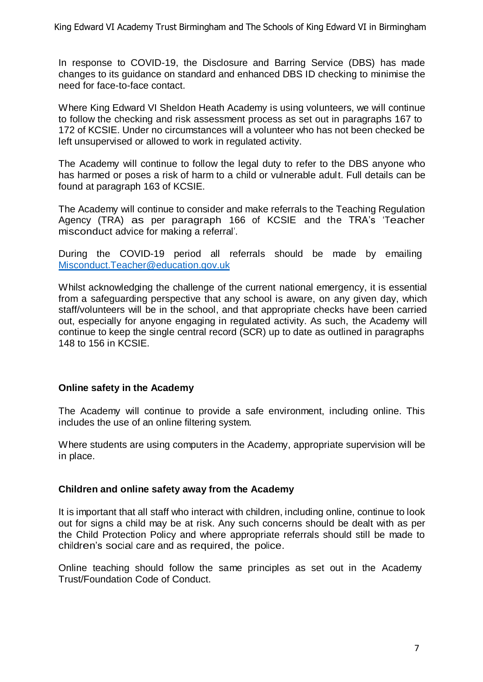In response to COVID-19, the Disclosure and Barring Service (DBS) has made changes to its guidance on standard and enhanced DBS ID checking to minimise the need for face-to-face contact.

Where King Edward VI Sheldon Heath Academy is using volunteers, we will continue to follow the checking and risk assessment process as set out in paragraphs 167 to 172 of KCSIE. Under no circumstances will a volunteer who has not been checked be left unsupervised or allowed to work in regulated activity.

The Academy will continue to follow the legal duty to refer to the DBS anyone who has harmed or poses a risk of harm to a child or vulnerable adult. Full details can be found at paragraph 163 of KCSIE.

The Academy will continue to consider and make referrals to the Teaching Regulation Agency (TRA) as per paragraph 166 of KCSIE and the TRA's 'Teacher misconduct advice for making a referral'.

During the COVID-19 period all referrals should be made by emailing [Misconduct.Teacher@education.gov.uk](mailto:Misconduct.Teacher@education.gov.uk)

Whilst acknowledging the challenge of the current national emergency, it is essential from a safeguarding perspective that any school is aware, on any given day, which staff/volunteers will be in the school, and that appropriate checks have been carried out, especially for anyone engaging in regulated activity. As such, the Academy will continue to keep the single central record (SCR) up to date as outlined in paragraphs 148 to 156 in KCSIE.

#### **Online safety in the Academy**

The Academy will continue to provide a safe environment, including online. This includes the use of an online filtering system.

Where students are using computers in the Academy, appropriate supervision will be in place.

#### **Children and online safety away from the Academy**

It is important that all staff who interact with children, including online, continue to look out for signs a child may be at risk. Any such concerns should be dealt with as per the Child Protection Policy and where appropriate referrals should still be made to children's social care and as required, the police.

Online teaching should follow the same principles as set out in the Academy Trust/Foundation Code of Conduct.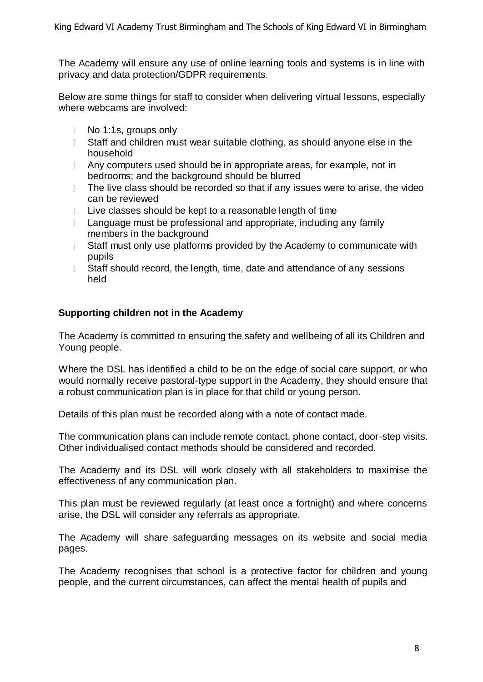The Academy will ensure any use of online learning tools and systems is in line with privacy and data protection/GDPR requirements.

Below are some things for staff to consider when delivering virtual lessons, especially where webcams are involved:

- $\mathbb{L}$ No 1:1s, groups only
- $\mathbb{R}$ Staff and children must wear suitable clothing, as should anyone else in the household
- $\mathbb{R}$ Any computers used should be in appropriate areas, for example, not in bedrooms; and the background should be blurred
- The live class should be recorded so that if any issues were to arise, the video  $\mathbb{R}$ can be reviewed
- $\mathbb{L}$ Live classes should be kept to a reasonable length of time
- Language must be professional and appropriate, including any family  $\mathbb{R}$ members in the background
- Staff must only use platforms provided by the Academy to communicate with  $\mathbb{R}$ pupils
- $\mathbb{L}$ Staff should record, the length, time, date and attendance of any sessions held

## **Supporting children not in the Academy**

The Academy is committed to ensuring the safety and wellbeing of all its Children and Young people.

Where the DSL has identified a child to be on the edge of social care support, or who would normally receive pastoral-type support in the Academy, they should ensure that a robust communication plan is in place for that child or young person.

Details of this plan must be recorded along with a note of contact made.

The communication plans can include remote contact, phone contact, door-step visits. Other individualised contact methods should be considered and recorded.

The Academy and its DSL will work closely with all stakeholders to maximise the effectiveness of any communication plan.

This plan must be reviewed regularly (at least once a fortnight) and where concerns arise, the DSL will consider any referrals as appropriate.

The Academy will share safeguarding messages on its website and social media pages.

The Academy recognises that school is a protective factor for children and young people, and the current circumstances, can affect the mental health of pupils and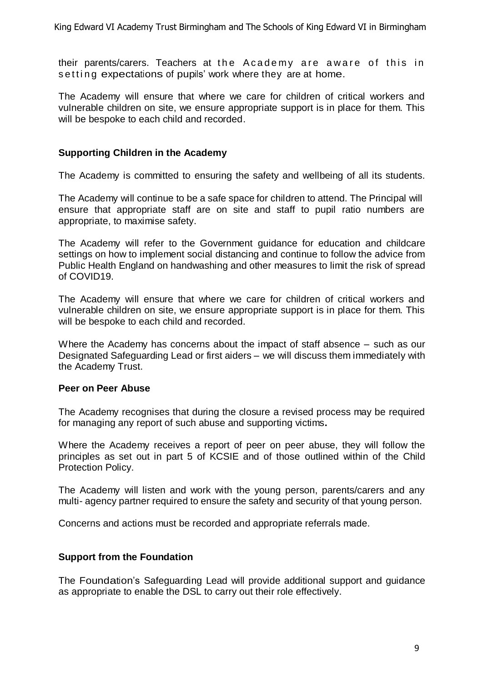their parents/carers. Teachers at the Academy are aware of this in setting expectations of pupils' work where they are at home.

The Academy will ensure that where we care for children of critical workers and vulnerable children on site, we ensure appropriate support is in place for them. This will be bespoke to each child and recorded.

## **Supporting Children in the Academy**

The Academy is committed to ensuring the safety and wellbeing of all its students.

The Academy will continue to be a safe space for children to attend. The Principal will ensure that appropriate staff are on site and staff to pupil ratio numbers are appropriate, to maximise safety.

The Academy will refer to the Government guidance for education and childcare settings on how to implement social distancing and continue to follow the advice from Public Health England on handwashing and other measures to limit the risk of spread of COVID19.

The Academy will ensure that where we care for children of critical workers and vulnerable children on site, we ensure appropriate support is in place for them. This will be bespoke to each child and recorded.

Where the Academy has concerns about the impact of staff absence – such as our Designated Safeguarding Lead or first aiders – we will discuss them immediately with the Academy Trust.

#### **Peer on Peer Abuse**

The Academy recognises that during the closure a revised process may be required for managing any report of such abuse and supporting victims**.**

Where the Academy receives a report of peer on peer abuse, they will follow the principles as set out in part 5 of KCSIE and of those outlined within of the Child Protection Policy.

The Academy will listen and work with the young person, parents/carers and any multi- agency partner required to ensure the safety and security of that young person.

Concerns and actions must be recorded and appropriate referrals made.

#### **Support from the Foundation**

The Foundation's Safeguarding Lead will provide additional support and guidance as appropriate to enable the DSL to carry out their role effectively.